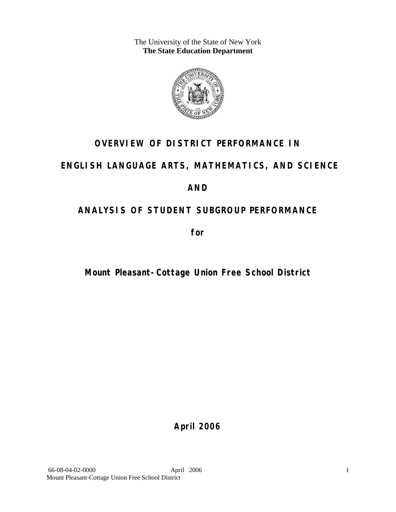The University of the State of New York **The State Education Department** 



# **OVERVIEW OF DISTRICT PERFORMANCE IN**

# **ENGLISH LANGUAGE ARTS, MATHEMATICS, AND SCIENCE**

# **AND**

# **ANALYSIS OF STUDENT SUBGROUP PERFORMANCE**

**for** 

# **Mount Pleasant-Cottage Union Free School District**

**April 2006**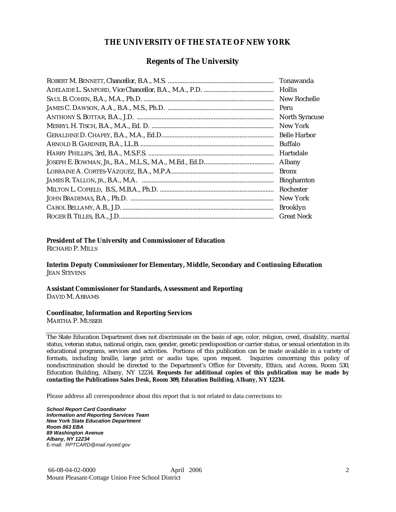### **THE UNIVERSITY OF THE STATE OF NEW YORK**

### **Regents of The University**

| Hollis                |
|-----------------------|
| New Rochelle          |
|                       |
| <b>North Syracuse</b> |
| New York              |
|                       |
| Buffalo               |
| Hartsdale             |
| Albany                |
| <b>Bronx</b>          |
| <b>Binghamton</b>     |
| Rochester             |
| New York              |
| <b>Brooklyn</b>       |
| <b>Great Neck</b>     |

### **President of The University and Commissioner of Education**

RICHARD P. MILLS

**Interim Deputy Commissioner for Elementary, Middle, Secondary and Continuing Education**  JEAN STEVENS

#### **Assistant Commissioner for Standards, Assessment and Reporting**  DAVID M. ABRAMS

#### **Coordinator, Information and Reporting Services**

MARTHA P. MUSSER

The State Education Department does not discriminate on the basis of age, color, religion, creed, disability, marital status, veteran status, national origin, race, gender, genetic predisposition or carrier status, or sexual orientation in its educational programs, services and activities. Portions of this publication can be made available in a variety of formats, including braille, large print or audio tape, upon request. Inquiries concerning this policy of nondiscrimination should be directed to the Department's Office for Diversity, Ethics, and Access, Room 530, Education Building, Albany, NY 12234. **Requests for additional copies of this publication may be made by contacting the Publications Sales Desk, Room 309, Education Building, Albany, NY 12234.** 

Please address all correspondence about this report that is not related to data corrections to:

*School Report Card Coordinator Information and Reporting Services Team New York State Education Department Room 863 EBA 89 Washington Avenue Albany, NY 12234*  E-mail: *RPTCARD@mail.nysed.gov*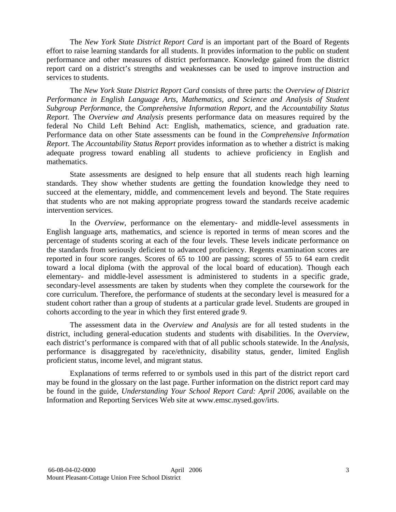The *New York State District Report Card* is an important part of the Board of Regents effort to raise learning standards for all students. It provides information to the public on student performance and other measures of district performance. Knowledge gained from the district report card on a district's strengths and weaknesses can be used to improve instruction and services to students.

The *New York State District Report Card* consists of three parts: the *Overview of District Performance in English Language Arts, Mathematics, and Science and Analysis of Student Subgroup Performance,* the *Comprehensive Information Report,* and the *Accountability Status Report.* The *Overview and Analysis* presents performance data on measures required by the federal No Child Left Behind Act: English, mathematics, science, and graduation rate. Performance data on other State assessments can be found in the *Comprehensive Information Report*. The *Accountability Status Report* provides information as to whether a district is making adequate progress toward enabling all students to achieve proficiency in English and mathematics.

State assessments are designed to help ensure that all students reach high learning standards. They show whether students are getting the foundation knowledge they need to succeed at the elementary, middle, and commencement levels and beyond. The State requires that students who are not making appropriate progress toward the standards receive academic intervention services.

In the *Overview*, performance on the elementary- and middle-level assessments in English language arts, mathematics, and science is reported in terms of mean scores and the percentage of students scoring at each of the four levels. These levels indicate performance on the standards from seriously deficient to advanced proficiency. Regents examination scores are reported in four score ranges. Scores of 65 to 100 are passing; scores of 55 to 64 earn credit toward a local diploma (with the approval of the local board of education). Though each elementary- and middle-level assessment is administered to students in a specific grade, secondary-level assessments are taken by students when they complete the coursework for the core curriculum. Therefore, the performance of students at the secondary level is measured for a student cohort rather than a group of students at a particular grade level. Students are grouped in cohorts according to the year in which they first entered grade 9.

The assessment data in the *Overview and Analysis* are for all tested students in the district, including general-education students and students with disabilities. In the *Overview*, each district's performance is compared with that of all public schools statewide. In the *Analysis*, performance is disaggregated by race/ethnicity, disability status, gender, limited English proficient status, income level, and migrant status.

Explanations of terms referred to or symbols used in this part of the district report card may be found in the glossary on the last page. Further information on the district report card may be found in the guide, *Understanding Your School Report Card: April 2006*, available on the Information and Reporting Services Web site at www.emsc.nysed.gov/irts.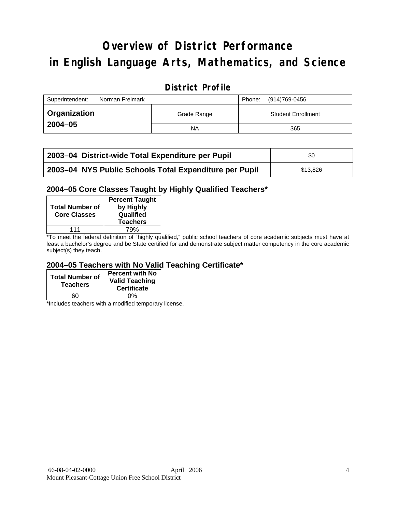# **Overview of District Performance in English Language Arts, Mathematics, and Science**

## **District Profile**

| Superintendent:     | Norman Freimark |             | Phone: | (914)769-0456             |
|---------------------|-----------------|-------------|--------|---------------------------|
| <b>Organization</b> |                 | Grade Range |        | <b>Student Enrollment</b> |
| $2004 - 05$         |                 | ΝA          |        | 365                       |

| 2003-04 District-wide Total Expenditure per Pupil      | \$0      |
|--------------------------------------------------------|----------|
| 2003-04 NYS Public Schools Total Expenditure per Pupil | \$13.826 |

### **2004–05 Core Classes Taught by Highly Qualified Teachers\***

| <b>Total Number of</b><br><b>Core Classes</b> | <b>Percent Taught</b><br>by Highly<br>Qualified<br><b>Teachers</b> |
|-----------------------------------------------|--------------------------------------------------------------------|
| 111                                           | 79%                                                                |

\*To meet the federal definition of "highly qualified," public school teachers of core academic subjects must have at least a bachelor's degree and be State certified for and demonstrate subject matter competency in the core academic subject(s) they teach.

### **2004–05 Teachers with No Valid Teaching Certificate\***

| <b>Total Number of</b><br><b>Teachers</b> | <b>Percent with No</b><br><b>Valid Teaching</b><br><b>Certificate</b> |
|-------------------------------------------|-----------------------------------------------------------------------|
| 60                                        | ሰ%                                                                    |

\*Includes teachers with a modified temporary license.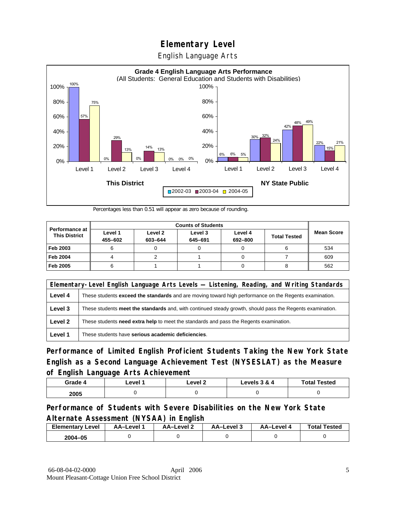English Language Arts



Percentages less than 0.51 will appear as zero because of rounding.

|                                               | <b>Counts of Students</b> |                    |                    |                    |                     |                   |  |
|-----------------------------------------------|---------------------------|--------------------|--------------------|--------------------|---------------------|-------------------|--|
| <b>Performance at</b><br><b>This District</b> | Level 1<br>455-602        | Level 2<br>603-644 | Level 3<br>645-691 | Level 4<br>692-800 | <b>Total Tested</b> | <b>Mean Score</b> |  |
| Feb 2003                                      |                           |                    |                    |                    |                     | 534               |  |
| <b>Feb 2004</b>                               |                           |                    |                    |                    |                     | 609               |  |
| Feb 2005                                      |                           |                    |                    |                    |                     | 562               |  |

|         | Elementary-Level English Language Arts Levels - Listening, Reading, and Writing Standards                     |
|---------|---------------------------------------------------------------------------------------------------------------|
| Level 4 | These students <b>exceed the standards</b> and are moving toward high performance on the Regents examination. |
| Level 3 | These students meet the standards and, with continued steady growth, should pass the Regents examination.     |
| Level 2 | These students need extra help to meet the standards and pass the Regents examination.                        |
| Level 1 | These students have serious academic deficiencies.                                                            |

**Performance of Limited English Proficient Students Taking the New York State English as a Second Language Achievement Test (NYSESLAT) as the Measure of English Language Arts Achievement**

| Grade 4 | Level 1 | Level 2 | Levels $3 & 4$ | <b>Total Tested</b> |
|---------|---------|---------|----------------|---------------------|
| 2005    |         |         |                |                     |

### **Performance of Students with Severe Disabilities on the New York State Alternate Assessment (NYSAA) in English**

| <b>Elementary Level</b> | AA-Level | AA-Level 2 | AA-Level 3 | AA–Level ∖ | <b>Total Tested</b> |
|-------------------------|----------|------------|------------|------------|---------------------|
| 2004-05                 |          |            |            |            |                     |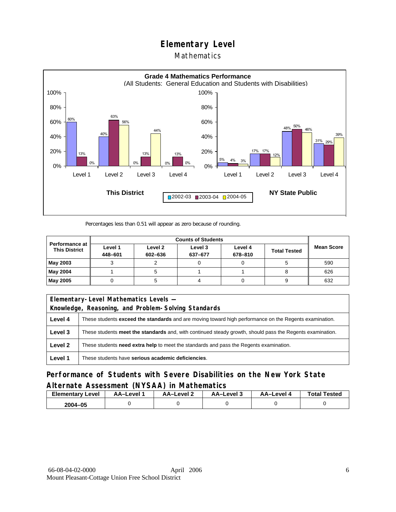### Mathematics



Percentages less than 0.51 will appear as zero because of rounding.

|                                               | <b>Counts of Students</b> |                    |                    |                    |                     |                   |  |
|-----------------------------------------------|---------------------------|--------------------|--------------------|--------------------|---------------------|-------------------|--|
| <b>Performance at</b><br><b>This District</b> | Level 1<br>448-601        | Level 2<br>602-636 | Level 3<br>637-677 | Level 4<br>678-810 | <b>Total Tested</b> | <b>Mean Score</b> |  |
| May 2003                                      |                           |                    |                    |                    |                     | 590               |  |
| May 2004                                      |                           |                    |                    |                    |                     | 626               |  |
| May 2005                                      |                           |                    |                    |                    |                     | 632               |  |

|         | Elementary-Level Mathematics Levels -                                                                         |  |  |  |  |
|---------|---------------------------------------------------------------------------------------------------------------|--|--|--|--|
|         | Knowledge, Reasoning, and Problem-Solving Standards                                                           |  |  |  |  |
| Level 4 | These students <b>exceed the standards</b> and are moving toward high performance on the Regents examination. |  |  |  |  |
| Level 3 | These students meet the standards and, with continued steady growth, should pass the Regents examination.     |  |  |  |  |
| Level 2 | These students <b>need extra help</b> to meet the standards and pass the Regents examination.                 |  |  |  |  |
| Level 1 | These students have serious academic deficiencies.                                                            |  |  |  |  |

**Performance of Students with Severe Disabilities on the New York State Alternate Assessment (NYSAA) in Mathematics** 

| <b>Elementary</b><br>Level | AA-Level | AA-Level 2 | AA-Level 3 | AA-Level 4 | <b>Total Tested</b> |
|----------------------------|----------|------------|------------|------------|---------------------|
| 2004-05                    |          |            |            |            |                     |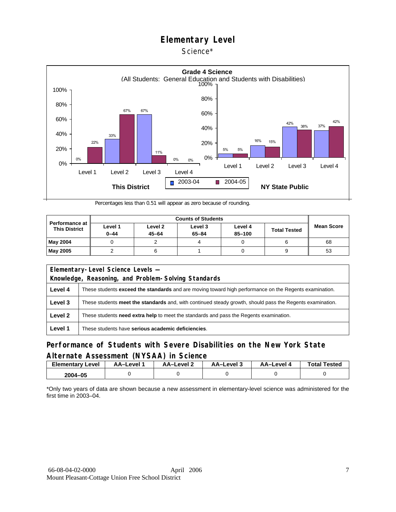Science\*



Percentages less than 0.51 will appear as zero because of rounding.

| <b>Performance at</b><br><b>This District</b> | Level 1<br>$0 - 44$ | Level 2<br>$45 - 64$ | Level 3<br>$65 - 84$ | Level 4<br>85-100 | <b>Total Tested</b> | <b>Mean Score</b> |
|-----------------------------------------------|---------------------|----------------------|----------------------|-------------------|---------------------|-------------------|
| May 2004                                      |                     |                      |                      |                   |                     | 68                |
| <b>May 2005</b>                               |                     |                      |                      |                   |                     | 53                |

| Elementary-Level Science Levels -                   |                                                                                                               |  |  |  |
|-----------------------------------------------------|---------------------------------------------------------------------------------------------------------------|--|--|--|
| Knowledge, Reasoning, and Problem-Solving Standards |                                                                                                               |  |  |  |
| Level 4                                             | These students <b>exceed the standards</b> and are moving toward high performance on the Regents examination. |  |  |  |
| Level 3                                             | These students meet the standards and, with continued steady growth, should pass the Regents examination.     |  |  |  |
| Level 2                                             | These students <b>need extra help</b> to meet the standards and pass the Regents examination.                 |  |  |  |
| Level 1                                             | These students have serious academic deficiencies.                                                            |  |  |  |

### **Performance of Students with Severe Disabilities on the New York State Alternate Assessment (NYSAA) in Science**

| Elementary<br>Level | AA-Level | AA–Level ∠ | AA-Level 3 | AA-Level 4 | <b>Total Tested</b> |
|---------------------|----------|------------|------------|------------|---------------------|
| 2004-05             |          |            |            |            |                     |

\*Only two years of data are shown because a new assessment in elementary-level science was administered for the first time in 2003–04.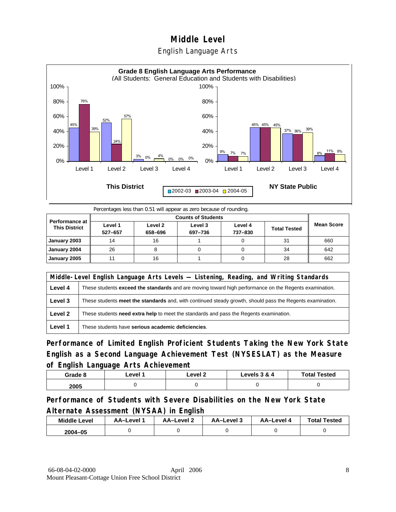### English Language Arts



Percentages less than 0.51 will appear as zero because of rounding.

|                                               |                    | <b>Counts of Students</b> |                    |                    |                     |                   |  |  |  |
|-----------------------------------------------|--------------------|---------------------------|--------------------|--------------------|---------------------|-------------------|--|--|--|
| <b>Performance at</b><br><b>This District</b> | Level 1<br>527-657 | Level 2<br>658-696        | Level 3<br>697-736 | Level 4<br>737-830 | <b>Total Tested</b> | <b>Mean Score</b> |  |  |  |
| January 2003                                  | 14                 | 16                        |                    |                    | 31                  | 660               |  |  |  |
| January 2004                                  | 26                 |                           |                    |                    | 34                  | 642               |  |  |  |
| January 2005                                  |                    | 16                        |                    |                    | 28                  | 662               |  |  |  |

|         | Middle-Level English Language Arts Levels — Listening, Reading, and Writing Standards                     |  |  |  |  |
|---------|-----------------------------------------------------------------------------------------------------------|--|--|--|--|
| Level 4 | These students exceed the standards and are moving toward high performance on the Regents examination.    |  |  |  |  |
| Level 3 | These students meet the standards and, with continued steady growth, should pass the Regents examination. |  |  |  |  |
| Level 2 | These students <b>need extra help</b> to meet the standards and pass the Regents examination.             |  |  |  |  |
| Level 1 | These students have serious academic deficiencies.                                                        |  |  |  |  |

**Performance of Limited English Proficient Students Taking the New York State English as a Second Language Achievement Test (NYSESLAT) as the Measure of English Language Arts Achievement**

| Grade 8 | ∟evel ∶ | Level 2 | Levels 3 & 4 | <b>Total Tested</b> |
|---------|---------|---------|--------------|---------------------|
| 2005    |         |         |              |                     |

**Performance of Students with Severe Disabilities on the New York State Alternate Assessment (NYSAA) in English** 

| <b>Middle Level</b> | AA–Level | <b>AA-Level 2</b> | AA-Level 3 | AA-Level 4 | <b>Total Tested</b> |
|---------------------|----------|-------------------|------------|------------|---------------------|
| 2004-05             |          |                   |            |            |                     |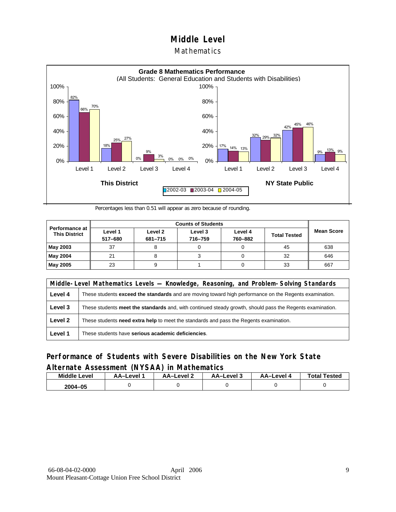### **Mathematics**



Percentages less than 0.51 will appear as zero because of rounding.

|                                               |                    | <b>Counts of Students</b> |                    |                    |                     |                   |  |  |  |
|-----------------------------------------------|--------------------|---------------------------|--------------------|--------------------|---------------------|-------------------|--|--|--|
| <b>Performance at</b><br><b>This District</b> | Level 1<br>517-680 | Level 2<br>681-715        | Level 3<br>716-759 | Level 4<br>760-882 | <b>Total Tested</b> | <b>Mean Score</b> |  |  |  |
| May 2003                                      | 37                 |                           |                    |                    | 45                  | 638               |  |  |  |
| May 2004                                      | 21                 |                           |                    |                    | 32                  | 646               |  |  |  |
| May 2005                                      | 23                 |                           |                    |                    | 33                  | 667               |  |  |  |

|         | Middle-Level Mathematics Levels — Knowledge, Reasoning, and Problem-Solving Standards                         |  |  |  |  |
|---------|---------------------------------------------------------------------------------------------------------------|--|--|--|--|
| Level 4 | These students <b>exceed the standards</b> and are moving toward high performance on the Regents examination. |  |  |  |  |
| Level 3 | These students meet the standards and, with continued steady growth, should pass the Regents examination.     |  |  |  |  |
| Level 2 | These students need extra help to meet the standards and pass the Regents examination.                        |  |  |  |  |
| Level 1 | These students have serious academic deficiencies.                                                            |  |  |  |  |

### **Performance of Students with Severe Disabilities on the New York State Alternate Assessment (NYSAA) in Mathematics**

| <b>Middle Level</b> | AA–Level | AA-Level 2 | AA–Level 3 | AA–Level 4 | <b>Total Tested</b> |
|---------------------|----------|------------|------------|------------|---------------------|
| 2004–05             |          |            |            |            |                     |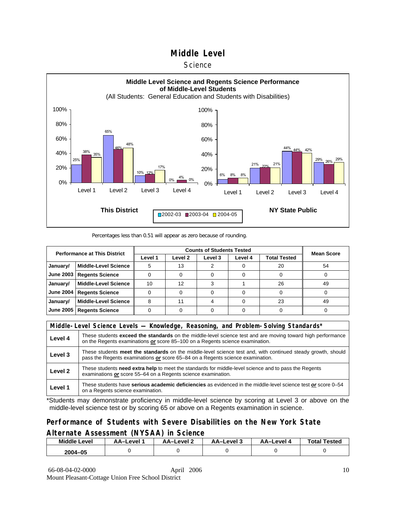#### **Science**



#### Percentages less than 0.51 will appear as zero because of rounding.

| <b>Performance at This District</b> |                             |         | <b>Mean Score</b>  |         |         |              |    |
|-------------------------------------|-----------------------------|---------|--------------------|---------|---------|--------------|----|
|                                     |                             | Level 1 | Level <sub>2</sub> | Level 3 | Level 4 | Total Tested |    |
| January/                            | <b>Middle-Level Science</b> | 5       | 13                 |         |         | 20           | 54 |
| <b>June 2003</b>                    | <b>Regents Science</b>      |         |                    |         |         |              |    |
| January/                            | <b>Middle-Level Science</b> | 10      | 12                 |         |         | 26           | 49 |
| <b>June 2004</b>                    | <b>Regents Science</b>      |         |                    |         |         |              |    |
| January/                            | <b>Middle-Level Science</b> | 8       | 11                 |         |         | 23           | 49 |
| <b>June 2005</b>                    | <b>Regents Science</b>      |         |                    |         |         |              |    |

|         | Middle-Level Science Levels — Knowledge, Reasoning, and Problem-Solving Standards*                                                                                                                  |  |  |  |  |
|---------|-----------------------------------------------------------------------------------------------------------------------------------------------------------------------------------------------------|--|--|--|--|
| Level 4 | These students <b>exceed the standards</b> on the middle-level science test and are moving toward high performance<br>on the Regents examinations or score 85-100 on a Regents science examination. |  |  |  |  |
| Level 3 | These students meet the standards on the middle-level science test and, with continued steady growth, should<br>pass the Regents examinations or score 65–84 on a Regents science examination.      |  |  |  |  |
| Level 2 | These students need extra help to meet the standards for middle-level science and to pass the Regents<br>examinations or score 55–64 on a Regents science examination.                              |  |  |  |  |
| Level 1 | These students have serious academic deficiencies as evidenced in the middle-level science test or score 0-54<br>on a Regents science examination.                                                  |  |  |  |  |

\*Students may demonstrate proficiency in middle-level science by scoring at Level 3 or above on the middle-level science test or by scoring 65 or above on a Regents examination in science.

### **Performance of Students with Severe Disabilities on the New York State Alternate Assessment (NYSAA) in Science**

| <b>Middle Level</b> | AA–Level | AA-Level 2 | AA-Level 3 | AA-Level | <b>Total Tested</b> |
|---------------------|----------|------------|------------|----------|---------------------|
| 2004-05             |          |            |            |          |                     |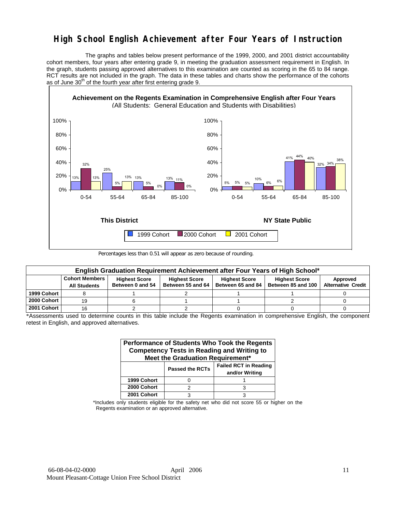# **High School English Achievement after Four Years of Instruction**

 The graphs and tables below present performance of the 1999, 2000, and 2001 district accountability cohort members, four years after entering grade 9, in meeting the graduation assessment requirement in English. In the graph, students passing approved alternatives to this examination are counted as scoring in the 65 to 84 range. RCT results are not included in the graph. The data in these tables and charts show the performance of the cohorts as of June  $30<sup>th</sup>$  of the fourth year after first entering grade 9.



Percentages less than 0.51 will appear as zero because of rounding.

|             | English Graduation Requirement Achievement after Four Years of High School* |                                          |                                           |                                           |                                            |                                       |  |  |  |  |  |  |
|-------------|-----------------------------------------------------------------------------|------------------------------------------|-------------------------------------------|-------------------------------------------|--------------------------------------------|---------------------------------------|--|--|--|--|--|--|
|             | <b>Cohort Members</b><br><b>All Students</b>                                | <b>Highest Score</b><br>Between 0 and 54 | <b>Highest Score</b><br>Between 55 and 64 | <b>Highest Score</b><br>Between 65 and 84 | <b>Highest Score</b><br>Between 85 and 100 | Approved<br><b>Alternative Credit</b> |  |  |  |  |  |  |
|             |                                                                             |                                          |                                           |                                           |                                            |                                       |  |  |  |  |  |  |
| 1999 Cohort |                                                                             |                                          |                                           |                                           |                                            |                                       |  |  |  |  |  |  |
| 2000 Cohort | 19                                                                          |                                          |                                           |                                           |                                            |                                       |  |  |  |  |  |  |
| 2001 Cohort | 16                                                                          |                                          |                                           |                                           |                                            |                                       |  |  |  |  |  |  |

\*Assessments used to determine counts in this table include the Regents examination in comprehensive English, the component retest in English, and approved alternatives.

| Performance of Students Who Took the Regents<br><b>Competency Tests in Reading and Writing to</b><br>Meet the Graduation Requirement* |                        |                                                |  |  |  |  |  |  |  |
|---------------------------------------------------------------------------------------------------------------------------------------|------------------------|------------------------------------------------|--|--|--|--|--|--|--|
|                                                                                                                                       | <b>Passed the RCTs</b> | <b>Failed RCT in Reading</b><br>and/or Writing |  |  |  |  |  |  |  |
| 1999 Cohort                                                                                                                           |                        |                                                |  |  |  |  |  |  |  |
| 2000 Cohort                                                                                                                           | っ                      |                                                |  |  |  |  |  |  |  |
| 2001 Cohort                                                                                                                           |                        |                                                |  |  |  |  |  |  |  |

\*Includes only students eligible for the safety net who did not score 55 or higher on the Regents examination or an approved alternative.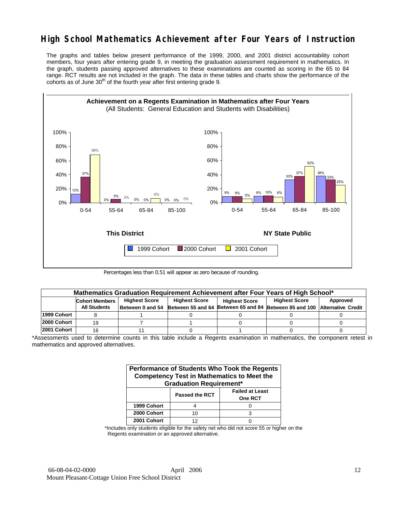# **High School Mathematics Achievement after Four Years of Instruction**

The graphs and tables below present performance of the 1999, 2000, and 2001 district accountability cohort members, four years after entering grade 9, in meeting the graduation assessment requirement in mathematics. In the graph, students passing approved alternatives to these examinations are counted as scoring in the 65 to 84 range. RCT results are not included in the graph. The data in these tables and charts show the performance of the cohorts as of June  $30<sup>th</sup>$  of the fourth year after first entering grade 9.



Percentages less than 0.51 will appear as zero because of rounding.

|             | Mathematics Graduation Requirement Achievement after Four Years of High School* |  |                      |                      |                                                                                            |          |  |  |  |  |  |
|-------------|---------------------------------------------------------------------------------|--|----------------------|----------------------|--------------------------------------------------------------------------------------------|----------|--|--|--|--|--|
|             | <b>Highest Score</b><br><b>Cohort Members</b>                                   |  | <b>Highest Score</b> | <b>Highest Score</b> |                                                                                            | Approved |  |  |  |  |  |
|             | <b>All Students</b>                                                             |  |                      |                      | Between 0 and 54 Between 55 and 64 Between 65 and 84 Between 85 and 100 Alternative Credit |          |  |  |  |  |  |
| 1999 Cohort |                                                                                 |  |                      |                      |                                                                                            |          |  |  |  |  |  |
| 2000 Cohort | 19                                                                              |  |                      |                      |                                                                                            |          |  |  |  |  |  |
| 2001 Cohort | 16                                                                              |  |                      |                      |                                                                                            |          |  |  |  |  |  |

\*Assessments used to determine counts in this table include a Regents examination in mathematics, the component retest in mathematics and approved alternatives.

| Performance of Students Who Took the Regents<br><b>Competency Test in Mathematics to Meet the</b><br><b>Graduation Requirement*</b> |                |                                          |  |  |  |  |  |  |
|-------------------------------------------------------------------------------------------------------------------------------------|----------------|------------------------------------------|--|--|--|--|--|--|
|                                                                                                                                     | Passed the RCT | <b>Failed at Least</b><br><b>One RCT</b> |  |  |  |  |  |  |
| 1999 Cohort                                                                                                                         |                |                                          |  |  |  |  |  |  |
| 2000 Cohort                                                                                                                         | 10             |                                          |  |  |  |  |  |  |
| 2001 Cohort                                                                                                                         | 12             |                                          |  |  |  |  |  |  |

\*Includes only students eligible for the safety net who did not score 55 or higher on the Regents examination or an approved alternative.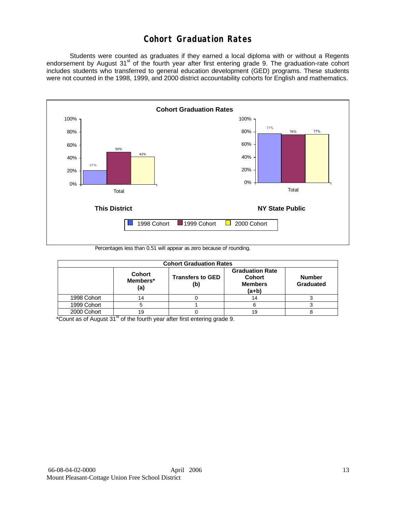# **Cohort Graduation Rates**

 Students were counted as graduates if they earned a local diploma with or without a Regents endorsement by August 31<sup>st</sup> of the fourth year after first entering grade 9. The graduation-rate cohort includes students who transferred to general education development (GED) programs. These students were not counted in the 1998, 1999, and 2000 district accountability cohorts for English and mathematics.



Percentages less than 0.51 will appear as zero because of rounding.

|             | <b>Cohort Graduation Rates</b>   |                                |                                                                      |                            |  |  |  |  |  |  |  |
|-------------|----------------------------------|--------------------------------|----------------------------------------------------------------------|----------------------------|--|--|--|--|--|--|--|
|             | <b>Cohort</b><br>Members*<br>(a) | <b>Transfers to GED</b><br>(b) | <b>Graduation Rate</b><br><b>Cohort</b><br><b>Members</b><br>$(a+b)$ | <b>Number</b><br>Graduated |  |  |  |  |  |  |  |
| 1998 Cohort | 14                               |                                | 14                                                                   |                            |  |  |  |  |  |  |  |
| 1999 Cohort | 5                                |                                |                                                                      |                            |  |  |  |  |  |  |  |
| 2000 Cohort | 19                               |                                | 19                                                                   |                            |  |  |  |  |  |  |  |

 $*$ Count as of August 31 $*$  of the fourth year after first entering grade 9.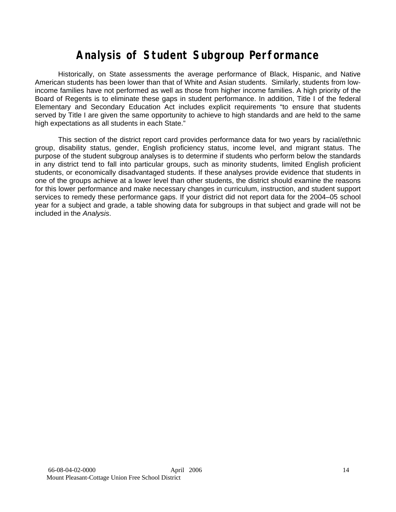# **Analysis of Student Subgroup Performance**

Historically, on State assessments the average performance of Black, Hispanic, and Native American students has been lower than that of White and Asian students. Similarly, students from lowincome families have not performed as well as those from higher income families. A high priority of the Board of Regents is to eliminate these gaps in student performance. In addition, Title I of the federal Elementary and Secondary Education Act includes explicit requirements "to ensure that students served by Title I are given the same opportunity to achieve to high standards and are held to the same high expectations as all students in each State."

This section of the district report card provides performance data for two years by racial/ethnic group, disability status, gender, English proficiency status, income level, and migrant status. The purpose of the student subgroup analyses is to determine if students who perform below the standards in any district tend to fall into particular groups, such as minority students, limited English proficient students, or economically disadvantaged students. If these analyses provide evidence that students in one of the groups achieve at a lower level than other students, the district should examine the reasons for this lower performance and make necessary changes in curriculum, instruction, and student support services to remedy these performance gaps. If your district did not report data for the 2004–05 school year for a subject and grade, a table showing data for subgroups in that subject and grade will not be included in the *Analysis*.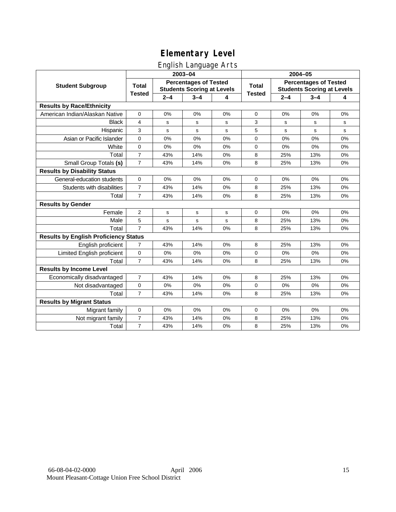## English Language Arts

|                                              |                |         | 2003-04                                                           |    | 2004-05       |         |                                                                   |       |  |
|----------------------------------------------|----------------|---------|-------------------------------------------------------------------|----|---------------|---------|-------------------------------------------------------------------|-------|--|
| <b>Student Subgroup</b>                      | <b>Total</b>   |         | <b>Percentages of Tested</b><br><b>Students Scoring at Levels</b> |    | <b>Total</b>  |         | <b>Percentages of Tested</b><br><b>Students Scoring at Levels</b> |       |  |
|                                              | <b>Tested</b>  | $2 - 4$ | $3 - 4$                                                           | 4  | <b>Tested</b> | $2 - 4$ | $3 - 4$                                                           | 4     |  |
| <b>Results by Race/Ethnicity</b>             |                |         |                                                                   |    |               |         |                                                                   |       |  |
| American Indian/Alaskan Native               | $\mathbf 0$    | 0%      | 0%                                                                | 0% | 0             | 0%      | 0%                                                                | 0%    |  |
| <b>Black</b>                                 | 4              | s       | s                                                                 | s  | 3             | s       | s                                                                 | s     |  |
| Hispanic                                     | 3              | s       | s                                                                 | s  | 5             | s       | s                                                                 | s     |  |
| Asian or Pacific Islander                    | 0              | 0%      | 0%                                                                | 0% | 0             | 0%      | 0%                                                                | 0%    |  |
| White                                        | $\mathbf 0$    | 0%      | 0%                                                                | 0% | 0             | 0%      | 0%                                                                | 0%    |  |
| Total                                        | $\overline{7}$ | 43%     | 14%                                                               | 0% | 8             | 25%     | 13%                                                               | 0%    |  |
| Small Group Totals (s)                       | $\overline{7}$ | 43%     | 14%                                                               | 0% | 8             | 25%     | 13%                                                               | 0%    |  |
| <b>Results by Disability Status</b>          |                |         |                                                                   |    |               |         |                                                                   |       |  |
| General-education students                   | $\Omega$       | 0%      | 0%                                                                | 0% | 0             | 0%      | 0%                                                                | 0%    |  |
| Students with disabilities                   | $\overline{7}$ | 43%     | 14%                                                               | 0% | 8             | 25%     | 13%                                                               | 0%    |  |
| Total                                        | $\overline{7}$ | 43%     | 14%                                                               | 0% | 8             | 25%     | 13%                                                               | 0%    |  |
| <b>Results by Gender</b>                     |                |         |                                                                   |    |               |         |                                                                   |       |  |
| Female                                       | 2              | s       | s                                                                 | s  | 0             | 0%      | 0%                                                                | 0%    |  |
| Male                                         | 5              | s       | s                                                                 | s  | 8             | 25%     | 13%                                                               | 0%    |  |
| Total                                        | $\overline{7}$ | 43%     | 14%                                                               | 0% | 8             | 25%     | 13%                                                               | 0%    |  |
| <b>Results by English Proficiency Status</b> |                |         |                                                                   |    |               |         |                                                                   |       |  |
| English proficient                           | $\overline{7}$ | 43%     | 14%                                                               | 0% | 8             | 25%     | 13%                                                               | 0%    |  |
| Limited English proficient                   | $\mathbf 0$    | 0%      | 0%                                                                | 0% | 0             | 0%      | 0%                                                                | 0%    |  |
| Total                                        | $\overline{7}$ | 43%     | 14%                                                               | 0% | 8             | 25%     | 13%                                                               | 0%    |  |
| <b>Results by Income Level</b>               |                |         |                                                                   |    |               |         |                                                                   |       |  |
| Economically disadvantaged                   | $\overline{7}$ | 43%     | 14%                                                               | 0% | 8             | 25%     | 13%                                                               | 0%    |  |
| Not disadvantaged                            | $\mathbf 0$    | 0%      | 0%                                                                | 0% | 0             | 0%      | 0%                                                                | $0\%$ |  |
| Total                                        | $\overline{7}$ | 43%     | 14%                                                               | 0% | 8             | 25%     | 13%                                                               | 0%    |  |
| <b>Results by Migrant Status</b>             |                |         |                                                                   |    |               |         |                                                                   |       |  |
| Migrant family                               | 0              | 0%      | 0%                                                                | 0% | 0             | 0%      | 0%                                                                | 0%    |  |
| Not migrant family                           | 7              | 43%     | 14%                                                               | 0% | 8             | 25%     | 13%                                                               | 0%    |  |
| Total                                        | $\overline{7}$ | 43%     | 14%                                                               | 0% | 8             | 25%     | 13%                                                               | 0%    |  |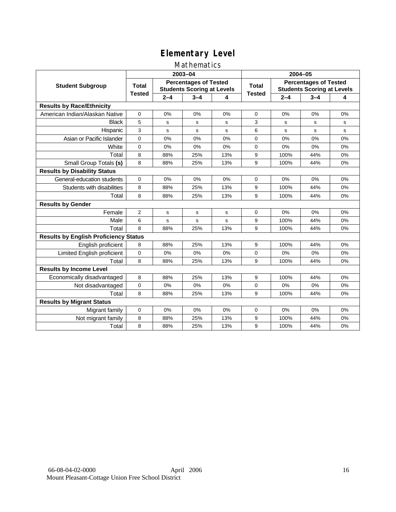### Mathematics

|                                              |               |         | 2003-04                                                           |     | 2004-05       |         |                                                                   |    |
|----------------------------------------------|---------------|---------|-------------------------------------------------------------------|-----|---------------|---------|-------------------------------------------------------------------|----|
| <b>Student Subgroup</b>                      | <b>Total</b>  |         | <b>Percentages of Tested</b><br><b>Students Scoring at Levels</b> |     | <b>Total</b>  |         | <b>Percentages of Tested</b><br><b>Students Scoring at Levels</b> |    |
|                                              | <b>Tested</b> | $2 - 4$ | $3 - 4$                                                           | 4   | <b>Tested</b> | $2 - 4$ | $3 - 4$                                                           | 4  |
| <b>Results by Race/Ethnicity</b>             |               |         |                                                                   |     |               |         |                                                                   |    |
| American Indian/Alaskan Native               | 0             | 0%      | 0%                                                                | 0%  | 0             | 0%      | 0%                                                                | 0% |
| <b>Black</b>                                 | 5             | s       | s                                                                 | s   | 3             | s       | s                                                                 | s  |
| Hispanic                                     | 3             | s       | s                                                                 | s   | 6             | s       | s                                                                 | s  |
| Asian or Pacific Islander                    | 0             | 0%      | 0%                                                                | 0%  | 0             | 0%      | 0%                                                                | 0% |
| White                                        | $\mathbf 0$   | 0%      | 0%                                                                | 0%  | 0             | 0%      | 0%                                                                | 0% |
| Total                                        | 8             | 88%     | 25%                                                               | 13% | 9             | 100%    | 44%                                                               | 0% |
| Small Group Totals (s)                       | 8             | 88%     | 25%                                                               | 13% | 9             | 100%    | 44%                                                               | 0% |
| <b>Results by Disability Status</b>          |               |         |                                                                   |     |               |         |                                                                   |    |
| General-education students                   | $\Omega$      | 0%      | 0%                                                                | 0%  | 0             | 0%      | 0%                                                                | 0% |
| Students with disabilities                   | 8             | 88%     | 25%                                                               | 13% | 9             | 100%    | 44%                                                               | 0% |
| Total                                        | 8             | 88%     | 25%                                                               | 13% | 9             | 100%    | 44%                                                               | 0% |
| <b>Results by Gender</b>                     |               |         |                                                                   |     |               |         |                                                                   |    |
| Female                                       | 2             | s       | s                                                                 | s   | 0             | 0%      | 0%                                                                | 0% |
| Male                                         | 6             | s       | s                                                                 | s   | 9             | 100%    | 44%                                                               | 0% |
| Total                                        | 8             | 88%     | 25%                                                               | 13% | 9             | 100%    | 44%                                                               | 0% |
| <b>Results by English Proficiency Status</b> |               |         |                                                                   |     |               |         |                                                                   |    |
| English proficient                           | 8             | 88%     | 25%                                                               | 13% | 9             | 100%    | 44%                                                               | 0% |
| Limited English proficient                   | 0             | 0%      | 0%                                                                | 0%  | 0             | 0%      | 0%                                                                | 0% |
| Total                                        | 8             | 88%     | 25%                                                               | 13% | 9             | 100%    | 44%                                                               | 0% |
| <b>Results by Income Level</b>               |               |         |                                                                   |     |               |         |                                                                   |    |
| Economically disadvantaged                   | 8             | 88%     | 25%                                                               | 13% | 9             | 100%    | 44%                                                               | 0% |
| Not disadvantaged                            | $\mathbf 0$   | 0%      | $0\%$                                                             | 0%  | 0             | 0%      | 0%                                                                | 0% |
| Total                                        | 8             | 88%     | 25%                                                               | 13% | 9             | 100%    | 44%                                                               | 0% |
| <b>Results by Migrant Status</b>             |               |         |                                                                   |     |               |         |                                                                   |    |
| Migrant family                               | $\mathbf 0$   | 0%      | 0%                                                                | 0%  | 0             | 0%      | 0%                                                                | 0% |
| Not migrant family                           | 8             | 88%     | 25%                                                               | 13% | 9             | 100%    | 44%                                                               | 0% |
| Total                                        | 8             | 88%     | 25%                                                               | 13% | 9             | 100%    | 44%                                                               | 0% |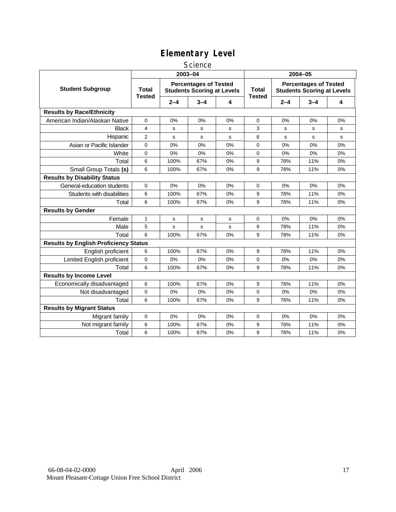### **Science**

|                                              | 2003-04                       |         |                                                                   |             | 2004-05                       |         |                                                                   |             |
|----------------------------------------------|-------------------------------|---------|-------------------------------------------------------------------|-------------|-------------------------------|---------|-------------------------------------------------------------------|-------------|
| <b>Student Subgroup</b>                      | <b>Total</b><br><b>Tested</b> |         | <b>Percentages of Tested</b><br><b>Students Scoring at Levels</b> |             | <b>Total</b><br><b>Tested</b> |         | <b>Percentages of Tested</b><br><b>Students Scoring at Levels</b> |             |
|                                              |                               | $2 - 4$ | $3 - 4$                                                           | 4           |                               | $2 - 4$ | $3 - 4$                                                           | 4           |
| <b>Results by Race/Ethnicity</b>             |                               |         |                                                                   |             |                               |         |                                                                   |             |
| American Indian/Alaskan Native               | 0                             | 0%      | 0%                                                                | 0%          | 0                             | 0%      | 0%                                                                | 0%          |
| <b>Black</b>                                 | $\overline{4}$                | s       | s                                                                 | s           | 3                             | s       | s                                                                 | s           |
| Hispanic                                     | $\overline{2}$                | s       | s                                                                 | $\mathbf s$ | 6                             | s       | s                                                                 | $\mathbf s$ |
| Asian or Pacific Islander                    | 0                             | 0%      | 0%                                                                | 0%          | $\mathbf 0$                   | 0%      | 0%                                                                | 0%          |
| White                                        | $\Omega$                      | 0%      | 0%                                                                | 0%          | $\Omega$                      | 0%      | 0%                                                                | 0%          |
| Total                                        | 6                             | 100%    | 67%                                                               | 0%          | 9                             | 78%     | 11%                                                               | 0%          |
| Small Group Totals (s)                       | 6                             | 100%    | 67%                                                               | 0%          | 9                             | 78%     | 11%                                                               | 0%          |
| <b>Results by Disability Status</b>          |                               |         |                                                                   |             |                               |         |                                                                   |             |
| General-education students                   | $\Omega$                      | 0%      | 0%                                                                | 0%          | $\mathbf 0$                   | 0%      | 0%                                                                | 0%          |
| Students with disabilities                   | 6                             | 100%    | 67%                                                               | 0%          | 9                             | 78%     | 11%                                                               | 0%          |
| Total                                        | 6                             | 100%    | 67%                                                               | 0%          | 9                             | 78%     | 11%                                                               | 0%          |
| <b>Results by Gender</b>                     |                               |         |                                                                   |             |                               |         |                                                                   |             |
| Female                                       | $\mathbf{1}$                  | s       | s                                                                 | s           | 0                             | 0%      | 0%                                                                | 0%          |
| Male                                         | 5                             | s       | s                                                                 | s           | 9                             | 78%     | 11%                                                               | 0%          |
| Total                                        | 6                             | 100%    | 67%                                                               | 0%          | 9                             | 78%     | 11%                                                               | 0%          |
| <b>Results by English Proficiency Status</b> |                               |         |                                                                   |             |                               |         |                                                                   |             |
| English proficient                           | 6                             | 100%    | 67%                                                               | 0%          | 9                             | 78%     | 11%                                                               | 0%          |
| Limited English proficient                   | 0                             | 0%      | 0%                                                                | 0%          | 0                             | 0%      | 0%                                                                | 0%          |
| Total                                        | 6                             | 100%    | 67%                                                               | 0%          | 9                             | 78%     | 11%                                                               | 0%          |
| <b>Results by Income Level</b>               |                               |         |                                                                   |             |                               |         |                                                                   |             |
| Economically disadvantaged                   | 6                             | 100%    | 67%                                                               | 0%          | 9                             | 78%     | 11%                                                               | 0%          |
| Not disadvantaged                            | 0                             | 0%      | 0%                                                                | 0%          | $\mathbf 0$                   | 0%      | 0%                                                                | 0%          |
| Total                                        | 6                             | 100%    | 67%                                                               | 0%          | 9                             | 78%     | 11%                                                               | 0%          |
| <b>Results by Migrant Status</b>             |                               |         |                                                                   |             |                               |         |                                                                   |             |
| Migrant family                               | 0                             | 0%      | 0%                                                                | 0%          | $\mathbf 0$                   | 0%      | 0%                                                                | 0%          |
| Not migrant family                           | 6                             | 100%    | 67%                                                               | 0%          | 9                             | 78%     | 11%                                                               | 0%          |
| Total                                        | 6                             | 100%    | 67%                                                               | 0%          | 9                             | 78%     | 11%                                                               | 0%          |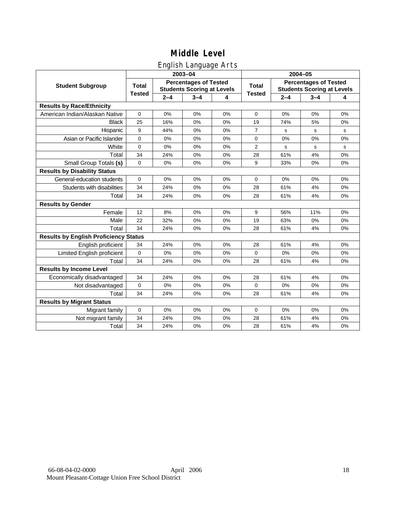## English Language Arts

|                                              |               |         | ັ<br>2003-04                                                      |    | 2004-05        |             |                                                                   |    |  |
|----------------------------------------------|---------------|---------|-------------------------------------------------------------------|----|----------------|-------------|-------------------------------------------------------------------|----|--|
| <b>Student Subgroup</b>                      | <b>Total</b>  |         | <b>Percentages of Tested</b><br><b>Students Scoring at Levels</b> |    | <b>Total</b>   |             | <b>Percentages of Tested</b><br><b>Students Scoring at Levels</b> |    |  |
|                                              | <b>Tested</b> | $2 - 4$ | $3 - 4$                                                           | 4  | <b>Tested</b>  | $2 - 4$     | $3 - 4$                                                           | 4  |  |
| <b>Results by Race/Ethnicity</b>             |               |         |                                                                   |    |                |             |                                                                   |    |  |
| American Indian/Alaskan Native               | $\mathbf 0$   | 0%      | 0%                                                                | 0% | $\mathbf 0$    | 0%          | 0%                                                                | 0% |  |
| <b>Black</b>                                 | 25            | 16%     | 0%                                                                | 0% | 19             | 74%         | 5%                                                                | 0% |  |
| Hispanic                                     | 9             | 44%     | 0%                                                                | 0% | $\overline{7}$ | s           | s                                                                 | s  |  |
| Asian or Pacific Islander                    | 0             | 0%      | 0%                                                                | 0% | 0              | 0%          | 0%                                                                | 0% |  |
| White                                        | 0             | 0%      | 0%                                                                | 0% | 2              | $\mathbf s$ | s                                                                 | s  |  |
| Total                                        | 34            | 24%     | 0%                                                                | 0% | 28             | 61%         | 4%                                                                | 0% |  |
| Small Group Totals (s)                       | 0             | 0%      | 0%                                                                | 0% | 9              | 33%         | 0%                                                                | 0% |  |
| <b>Results by Disability Status</b>          |               |         |                                                                   |    |                |             |                                                                   |    |  |
| General-education students                   | 0             | 0%      | 0%                                                                | 0% | 0              | 0%          | 0%                                                                | 0% |  |
| Students with disabilities                   | 34            | 24%     | 0%                                                                | 0% | 28             | 61%         | 4%                                                                | 0% |  |
| Total                                        | 34            | 24%     | 0%                                                                | 0% | 28             | 61%         | 4%                                                                | 0% |  |
| <b>Results by Gender</b>                     |               |         |                                                                   |    |                |             |                                                                   |    |  |
| Female                                       | 12            | 8%      | 0%                                                                | 0% | 9              | 56%         | 11%                                                               | 0% |  |
| Male                                         | 22            | 32%     | 0%                                                                | 0% | 19             | 63%         | 0%                                                                | 0% |  |
| Total                                        | 34            | 24%     | 0%                                                                | 0% | 28             | 61%         | 4%                                                                | 0% |  |
| <b>Results by English Proficiency Status</b> |               |         |                                                                   |    |                |             |                                                                   |    |  |
| English proficient                           | 34            | 24%     | 0%                                                                | 0% | 28             | 61%         | 4%                                                                | 0% |  |
| Limited English proficient                   | $\mathbf 0$   | 0%      | 0%                                                                | 0% | 0              | 0%          | 0%                                                                | 0% |  |
| Total                                        | 34            | 24%     | 0%                                                                | 0% | 28             | 61%         | 4%                                                                | 0% |  |
| <b>Results by Income Level</b>               |               |         |                                                                   |    |                |             |                                                                   |    |  |
| Economically disadvantaged                   | 34            | 24%     | 0%                                                                | 0% | 28             | 61%         | 4%                                                                | 0% |  |
| Not disadvantaged                            | $\mathbf 0$   | 0%      | 0%                                                                | 0% | 0              | 0%          | 0%                                                                | 0% |  |
| Total                                        | 34            | 24%     | 0%                                                                | 0% | 28             | 61%         | 4%                                                                | 0% |  |
| <b>Results by Migrant Status</b>             |               |         |                                                                   |    |                |             |                                                                   |    |  |
| Migrant family                               | $\mathbf 0$   | 0%      | 0%                                                                | 0% | 0              | 0%          | 0%                                                                | 0% |  |
| Not migrant family                           | 34            | 24%     | 0%                                                                | 0% | 28             | 61%         | 4%                                                                | 0% |  |
| Total                                        | 34            | 24%     | 0%                                                                | 0% | 28             | 61%         | 4%                                                                | 0% |  |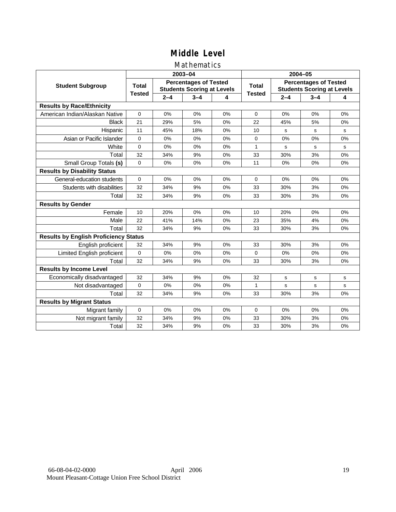### Mathematics

|                                              |               |         | 2003-04                                                           |    | 2004-05        |         |                                                                   |             |  |
|----------------------------------------------|---------------|---------|-------------------------------------------------------------------|----|----------------|---------|-------------------------------------------------------------------|-------------|--|
| <b>Student Subgroup</b>                      | <b>Total</b>  |         | <b>Percentages of Tested</b><br><b>Students Scoring at Levels</b> |    | <b>Total</b>   |         | <b>Percentages of Tested</b><br><b>Students Scoring at Levels</b> |             |  |
|                                              | <b>Tested</b> | $2 - 4$ | $3 - 4$                                                           | 4  | <b>Tested</b>  | $2 - 4$ | $3 - 4$                                                           | 4           |  |
| <b>Results by Race/Ethnicity</b>             |               |         |                                                                   |    |                |         |                                                                   |             |  |
| American Indian/Alaskan Native               | $\mathbf 0$   | 0%      | 0%                                                                | 0% | 0              | 0%      | 0%                                                                | 0%          |  |
| <b>Black</b>                                 | 21            | 29%     | 5%                                                                | 0% | 22             | 45%     | 5%                                                                | 0%          |  |
| Hispanic                                     | 11            | 45%     | 18%                                                               | 0% | 10             | s       | s                                                                 | s           |  |
| Asian or Pacific Islander                    | $\mathbf 0$   | 0%      | 0%                                                                | 0% | 0              | 0%      | 0%                                                                | 0%          |  |
| White                                        | $\mathbf 0$   | 0%      | 0%                                                                | 0% | $\mathbf{1}$   | s       | s                                                                 | $\mathbf s$ |  |
| Total                                        | 32            | 34%     | 9%                                                                | 0% | 33             | 30%     | 3%                                                                | 0%          |  |
| Small Group Totals (s)                       | $\Omega$      | 0%      | 0%                                                                | 0% | 11             | 0%      | 0%                                                                | $0\%$       |  |
| <b>Results by Disability Status</b>          |               |         |                                                                   |    |                |         |                                                                   |             |  |
| General-education students                   | $\Omega$      | 0%      | 0%                                                                | 0% | $\Omega$       | 0%      | 0%                                                                | 0%          |  |
| Students with disabilities                   | 32            | 34%     | 9%                                                                | 0% | 33             | 30%     | 3%                                                                | 0%          |  |
| Total                                        | 32            | 34%     | 9%                                                                | 0% | 33             | 30%     | 3%                                                                | 0%          |  |
| <b>Results by Gender</b>                     |               |         |                                                                   |    |                |         |                                                                   |             |  |
| Female                                       | 10            | 20%     | 0%                                                                | 0% | 10             | 20%     | 0%                                                                | 0%          |  |
| Male                                         | 22            | 41%     | 14%                                                               | 0% | 23             | 35%     | 4%                                                                | 0%          |  |
| Total                                        | 32            | 34%     | 9%                                                                | 0% | 33             | 30%     | 3%                                                                | 0%          |  |
| <b>Results by English Proficiency Status</b> |               |         |                                                                   |    |                |         |                                                                   |             |  |
| English proficient                           | 32            | 34%     | 9%                                                                | 0% | 33             | 30%     | 3%                                                                | 0%          |  |
| Limited English proficient                   | $\Omega$      | 0%      | 0%                                                                | 0% | $\overline{0}$ | 0%      | 0%                                                                | 0%          |  |
| Total                                        | 32            | 34%     | 9%                                                                | 0% | 33             | 30%     | 3%                                                                | 0%          |  |
| <b>Results by Income Level</b>               |               |         |                                                                   |    |                |         |                                                                   |             |  |
| Economically disadvantaged                   | 32            | 34%     | 9%                                                                | 0% | 32             | s       | s                                                                 | s           |  |
| Not disadvantaged                            | $\mathbf 0$   | 0%      | 0%                                                                | 0% | 1              | s       | s                                                                 | s           |  |
| Total                                        | 32            | 34%     | 9%                                                                | 0% | 33             | 30%     | 3%                                                                | 0%          |  |
| <b>Results by Migrant Status</b>             |               |         |                                                                   |    |                |         |                                                                   |             |  |
| Migrant family                               | $\mathbf 0$   | 0%      | 0%                                                                | 0% | 0              | 0%      | 0%                                                                | 0%          |  |
| Not migrant family                           | 32            | 34%     | 9%                                                                | 0% | 33             | 30%     | 3%                                                                | 0%          |  |
| Total                                        | 32            | 34%     | 9%                                                                | 0% | 33             | 30%     | 3%                                                                | 0%          |  |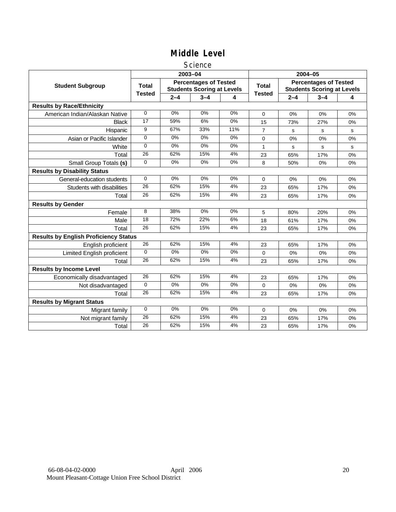### **Science**

|                                              |               | 2003-04 |                                                                   |       |                | 2004-05 |                                                                   |    |  |
|----------------------------------------------|---------------|---------|-------------------------------------------------------------------|-------|----------------|---------|-------------------------------------------------------------------|----|--|
| <b>Student Subgroup</b>                      | Total         |         | <b>Percentages of Tested</b><br><b>Students Scoring at Levels</b> |       | Total          |         | <b>Percentages of Tested</b><br><b>Students Scoring at Levels</b> |    |  |
|                                              | <b>Tested</b> | $2 - 4$ | $3 - 4$                                                           | 4     | <b>Tested</b>  | $2 - 4$ | $3 - 4$                                                           | 4  |  |
| <b>Results by Race/Ethnicity</b>             |               |         |                                                                   |       |                |         |                                                                   |    |  |
| American Indian/Alaskan Native               | $\Omega$      | 0%      | 0%                                                                | 0%    | $\Omega$       | 0%      | 0%                                                                | 0% |  |
| <b>Black</b>                                 | 17            | 59%     | 6%                                                                | 0%    | 15             | 73%     | 27%                                                               | 0% |  |
| Hispanic                                     | 9             | 67%     | 33%                                                               | 11%   | $\overline{7}$ | s       | s                                                                 | s  |  |
| Asian or Pacific Islander                    | $\Omega$      | 0%      | 0%                                                                | 0%    | 0              | 0%      | 0%                                                                | 0% |  |
| White                                        | 0             | 0%      | 0%                                                                | 0%    | 1              | s       | s                                                                 | s  |  |
| Total                                        | 26            | 62%     | 15%                                                               | 4%    | 23             | 65%     | 17%                                                               | 0% |  |
| Small Group Totals (s)                       | $\Omega$      | 0%      | $0\%$                                                             | $0\%$ | 8              | 50%     | 0%                                                                | 0% |  |
| <b>Results by Disability Status</b>          |               |         |                                                                   |       |                |         |                                                                   |    |  |
| General-education students                   | $\mathbf 0$   | 0%      | 0%                                                                | 0%    | 0              | $0\%$   | 0%                                                                | 0% |  |
| Students with disabilities                   | 26            | 62%     | 15%                                                               | 4%    | 23             | 65%     | 17%                                                               | 0% |  |
| Total                                        | 26            | 62%     | 15%                                                               | 4%    | 23             | 65%     | 17%                                                               | 0% |  |
| <b>Results by Gender</b>                     |               |         |                                                                   |       |                |         |                                                                   |    |  |
| Female                                       | 8             | 38%     | 0%                                                                | $0\%$ | 5              | 80%     | 20%                                                               | 0% |  |
| Male                                         | 18            | 72%     | 22%                                                               | 6%    | 18             | 61%     | 17%                                                               | 0% |  |
| Total                                        | 26            | 62%     | 15%                                                               | 4%    | 23             | 65%     | 17%                                                               | 0% |  |
| <b>Results by English Proficiency Status</b> |               |         |                                                                   |       |                |         |                                                                   |    |  |
| English proficient                           | 26            | 62%     | 15%                                                               | 4%    | 23             | 65%     | 17%                                                               | 0% |  |
| Limited English proficient                   | $\Omega$      | $0\%$   | $0\%$                                                             | $0\%$ | 0              | 0%      | 0%                                                                | 0% |  |
| Total                                        | 26            | 62%     | 15%                                                               | 4%    | 23             | 65%     | 17%                                                               | 0% |  |
| <b>Results by Income Level</b>               |               |         |                                                                   |       |                |         |                                                                   |    |  |
| Economically disadvantaged                   | 26            | 62%     | 15%                                                               | 4%    | 23             | 65%     | 17%                                                               | 0% |  |
| Not disadvantaged                            | $\mathbf 0$   | 0%      | 0%                                                                | 0%    | 0              | 0%      | 0%                                                                | 0% |  |
| Total                                        | 26            | 62%     | 15%                                                               | 4%    | 23             | 65%     | 17%                                                               | 0% |  |
| <b>Results by Migrant Status</b>             |               |         |                                                                   |       |                |         |                                                                   |    |  |
| Migrant family                               | $\mathbf 0$   | 0%      | 0%                                                                | 0%    | 0              | 0%      | 0%                                                                | 0% |  |
| Not migrant family                           | 26            | 62%     | 15%                                                               | 4%    | 23             | 65%     | 17%                                                               | 0% |  |
| Total                                        | 26            | 62%     | 15%                                                               | 4%    | 23             | 65%     | 17%                                                               | 0% |  |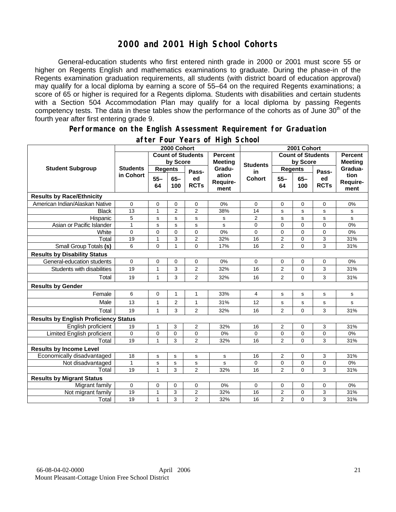## **2000 and 2001 High School Cohorts**

General-education students who first entered ninth grade in 2000 or 2001 must score 55 or higher on Regents English and mathematics examinations to graduate. During the phase-in of the Regents examination graduation requirements, all students (with district board of education approval) may qualify for a local diploma by earning a score of 55–64 on the required Regents examinations; a score of 65 or higher is required for a Regents diploma. Students with disabilities and certain students with a Section 504 Accommodation Plan may qualify for a local diploma by passing Regents competency tests. The data in these tables show the performance of the cohorts as of June 30<sup>th</sup> of the fourth year after first entering grade 9.

#### **Performance on the English Assessment Requirement for Graduation**

|                                              | 2000 Cohort                  |                          |                |                   |                           | 2001 Cohort     |                          |                |                   |                          |
|----------------------------------------------|------------------------------|--------------------------|----------------|-------------------|---------------------------|-----------------|--------------------------|----------------|-------------------|--------------------------|
| <b>Student Subgroup</b>                      |                              | <b>Count of Students</b> |                |                   | <b>Percent</b><br>Meeting |                 | <b>Count of Students</b> |                |                   | <b>Percent</b>           |
|                                              | <b>Students</b><br>in Cohort | by Score                 |                |                   |                           | <b>Students</b> | by Score                 |                | <b>Meeting</b>    |                          |
|                                              |                              | <b>Regents</b>           |                | Pass-             | Gradu-                    | in              | <b>Regents</b>           |                | Pass-             | Gradua-                  |
|                                              |                              | $55 -$<br>64             | $65 -$<br>100  | ed<br><b>RCTs</b> | ation<br>Require-<br>ment | <b>Cohort</b>   | $55 -$<br>64             | $65 -$<br>100  | ed<br><b>RCTs</b> | tion<br>Require-<br>ment |
| <b>Results by Race/Ethnicity</b>             |                              |                          |                |                   |                           |                 |                          |                |                   |                          |
| American Indian/Alaskan Native               | $\mathbf 0$                  | $\mathbf 0$              | 0              | 0                 | 0%                        | $\mathbf 0$     | 0                        | 0              | 0                 | 0%                       |
| <b>Black</b>                                 | 13                           | $\mathbf{1}$             | $\overline{c}$ | $\overline{2}$    | 38%                       | 14              | s                        | s              | s                 | s                        |
| Hispanic                                     | 5                            | s                        | s              | s                 | s                         | $\overline{2}$  | s                        | s              | s                 | s                        |
| Asian or Pacific Islander                    | $\mathbf{1}$                 | s                        | $\mathbf s$    | s                 | s                         | 0               | $\mathbf 0$              | 0              | 0                 | 0%                       |
| White                                        | 0                            | $\mathbf 0$              | $\mathbf 0$    | $\overline{0}$    | 0%                        | 0               | $\mathbf 0$              | 0              | 0                 | 0%                       |
| Total                                        | 19                           | $\mathbf{1}$             | 3              | $\overline{2}$    | 32%                       | 16              | $\overline{2}$           | 0              | 3                 | 31%                      |
| Small Group Totals (s)                       | 6                            | $\mathbf 0$              | $\mathbf{1}$   | $\overline{0}$    | 17%                       | 16              | $\overline{2}$           | 0              | 3                 | 31%                      |
| <b>Results by Disability Status</b>          |                              |                          |                |                   |                           |                 |                          |                |                   |                          |
| General-education students                   | $\mathbf 0$                  | $\mathbf 0$              | 0              | 0                 | 0%                        | 0               | 0                        | 0              | 0                 | 0%                       |
| Students with disabilities                   | 19                           | $\mathbf{1}$             | 3              | 2                 | 32%                       | 16              | $\overline{2}$           | 0              | 3                 | 31%                      |
| Total                                        | 19                           | $\mathbf{1}$             | 3              | $\overline{2}$    | 32%                       | 16              | $\overline{2}$           | 0              | 3                 | 31%                      |
| <b>Results by Gender</b>                     |                              |                          |                |                   |                           |                 |                          |                |                   |                          |
| Female                                       | 6                            | $\mathbf 0$              | $\mathbf{1}$   | $\mathbf{1}$      | 33%                       | 4               | s                        | s              | s                 | s                        |
| Male                                         | 13                           | 1                        | 2              | 1                 | 31%                       | 12              | s                        | s              | s                 | s                        |
| Total                                        | 19                           | $\mathbf{1}$             | 3              | $\overline{2}$    | 32%                       | 16              | $\overline{2}$           | 0              | 3                 | 31%                      |
| <b>Results by English Proficiency Status</b> |                              |                          |                |                   |                           |                 |                          |                |                   |                          |
| English proficient                           | 19                           | 1                        | 3              | 2                 | 32%                       | 16              | 2                        | 0              | 3                 | 31%                      |
| Limited English proficient                   | $\mathbf 0$                  | $\mathbf 0$              | 0              | 0                 | 0%                        | 0               | 0                        | 0              | 0                 | 0%                       |
| Total                                        | 19                           | 1                        | 3              | $\overline{2}$    | 32%                       | 16              | $\overline{2}$           | $\Omega$       | 3                 | 31%                      |
| <b>Results by Income Level</b>               |                              |                          |                |                   |                           |                 |                          |                |                   |                          |
| Economically disadvantaged                   | 18                           | s                        | s              | s                 | s                         | 16              | 2                        | $\Omega$       | 3                 | 31%                      |
| Not disadvantaged                            | $\mathbf{1}$                 | s                        | $\mathbf s$    | s                 | s                         | 0               | $\mathbf 0$              | 0              | 0                 | 0%                       |
| Total                                        | 19                           | 1                        | 3              | $\overline{2}$    | 32%                       | 16              | $\overline{2}$           | $\overline{0}$ | 3                 | 31%                      |
| <b>Results by Migrant Status</b>             |                              |                          |                |                   |                           |                 |                          |                |                   |                          |
| Migrant family                               | $\mathbf 0$                  | $\mathbf 0$              | $\mathbf 0$    | $\mathbf 0$       | 0%                        | $\Omega$        | 0                        | 0              | 0                 | 0%                       |
| Not migrant family                           | 19                           | 1                        | 3              | 2                 | 32%                       | 16              | $\overline{2}$           | 0              | 3                 | 31%                      |
| Total                                        | 19                           | $\mathbf{1}$             | 3              | $\overline{2}$    | 32%                       | 16              | $\overline{2}$           | 0              | 3                 | 31%                      |

### **after Four Years of High School**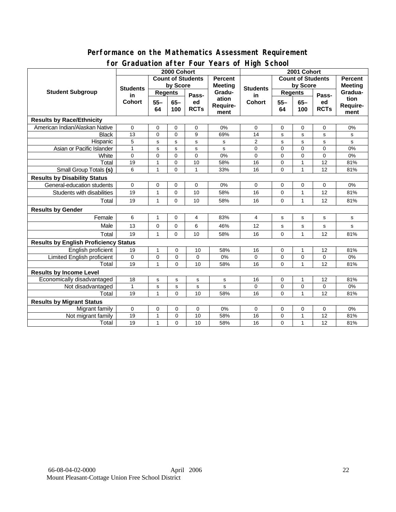### **Performance on the Mathematics Assessment Requirement for Graduation after Four Years of High School**

|                                              | 0. aaaation artor roar roars of filgh conoon<br>2000 Cohort |                              |             |                            |                           | 2001 Cohort                                |                |                        |                            |                |
|----------------------------------------------|-------------------------------------------------------------|------------------------------|-------------|----------------------------|---------------------------|--------------------------------------------|----------------|------------------------|----------------------------|----------------|
| <b>Student Subgroup</b>                      |                                                             | <b>Count of Students</b>     |             |                            | <b>Percent</b>            | <b>Count of Students</b><br><b>Percent</b> |                |                        |                            |                |
|                                              | <b>Students</b><br>in<br><b>Cohort</b>                      | by Score                     |             |                            | <b>Meeting</b>            |                                            | by Score       |                        |                            | <b>Meeting</b> |
|                                              |                                                             | <b>Regents</b>               |             |                            | Gradu-                    | <b>Students</b><br>in                      | <b>Regents</b> |                        |                            | Gradua-        |
|                                              |                                                             | $55 -$<br>$65-$<br>64<br>100 |             | Pass-<br>ed<br><b>RCTs</b> | ation<br>Require-<br>ment | <b>Cohort</b>                              |                | $65-$<br>$55 -$<br>100 | Pass-<br>ed<br><b>RCTs</b> | tion           |
|                                              |                                                             |                              |             |                            |                           |                                            | 64             |                        |                            | Require-       |
|                                              |                                                             |                              |             |                            |                           |                                            |                |                        |                            | ment           |
| <b>Results by Race/Ethnicity</b>             |                                                             |                              |             |                            |                           |                                            |                |                        |                            |                |
| American Indian/Alaskan Native               | $\Omega$                                                    | $\mathbf 0$                  | 0           | $\mathbf 0$                | 0%                        | $\Omega$                                   | 0              | 0                      | 0                          | 0%             |
| <b>Black</b>                                 | 13                                                          | $\mathbf 0$                  | $\Omega$    | 9                          | 69%                       | 14                                         | s              | s                      | s                          | s              |
| Hispanic                                     | 5                                                           | s                            | s           | s                          | s                         | 2                                          | s              | s                      | s                          | s              |
| Asian or Pacific Islander                    | $\mathbf{1}$                                                | s                            | $\mathbf s$ | s                          | s                         | 0                                          | 0              | $\Omega$               | $\Omega$                   | 0%             |
| White                                        | 0                                                           | $\mathbf 0$                  | $\Omega$    | $\Omega$                   | 0%                        | $\Omega$                                   | 0              | 0                      | $\Omega$                   | $0\%$          |
| Total                                        | 19                                                          | 1                            | $\mathbf 0$ | 10                         | 58%                       | 16                                         | 0              | $\mathbf{1}$           | 12                         | 81%            |
| <b>Small Group Totals (s)</b>                | 6                                                           | 1                            | $\Omega$    | 1                          | 33%                       | 16                                         | 0              | $\mathbf{1}$           | 12                         | 81%            |
| <b>Results by Disability Status</b>          |                                                             |                              |             |                            |                           |                                            |                |                        |                            |                |
| General-education students                   | 0                                                           | 0                            | 0           | 0                          | 0%                        | 0                                          | 0              | 0                      | 0                          | 0%             |
| Students with disabilities                   | 19                                                          | 1                            | $\mathbf 0$ | 10                         | 58%                       | 16                                         | $\mathbf 0$    | $\mathbf{1}$           | 12                         | 81%            |
| Total                                        | 19                                                          | 1                            | $\Omega$    | 10                         | 58%                       | 16                                         | $\Omega$       | $\mathbf{1}$           | 12                         | 81%            |
| <b>Results by Gender</b>                     |                                                             |                              |             |                            |                           |                                            |                |                        |                            |                |
| Female                                       | 6                                                           | 1                            | 0           | 4                          | 83%                       | 4                                          | s              | s                      | s                          | s              |
| Male                                         | 13                                                          | $\mathbf 0$                  | $\Omega$    | 6                          | 46%                       | 12                                         | s              | $\mathbf s$            | s                          | s              |
| Total                                        | 19                                                          | 1                            | $\mathbf 0$ | 10                         | 58%                       | 16                                         | 0              | $\mathbf{1}$           | 12                         | 81%            |
| <b>Results by English Proficiency Status</b> |                                                             |                              |             |                            |                           |                                            |                |                        |                            |                |
| English proficient                           | 19                                                          | 1                            | $\mathbf 0$ | 10                         | 58%                       | 16                                         | $\mathbf 0$    | $\mathbf{1}$           | 12                         | 81%            |
| <b>Limited English proficient</b>            | 0                                                           | $\mathbf 0$                  | $\mathbf 0$ | 0                          | 0%                        | 0                                          | 0              | $\mathbf 0$            | 0                          | 0%             |
| Total                                        | 19                                                          | $\mathbf{1}$                 | $\Omega$    | 10                         | 58%                       | 16                                         | $\overline{0}$ | $\mathbf{1}$           | 12                         | 81%            |
| <b>Results by Income Level</b>               |                                                             |                              |             |                            |                           |                                            |                |                        |                            |                |
| Economically disadvantaged                   | 18                                                          | s                            | s           | s                          | s                         | 16                                         | 0              | 1                      | 12                         | 81%            |
| Not disadvantaged                            | 1                                                           | s                            | $\mathbf S$ | $\mathbf s$                | $\mathbf s$               | 0                                          | 0              | $\mathbf 0$            | $\mathbf 0$                | $0\%$          |
| Total                                        | 19                                                          | 1                            | $\Omega$    | 10                         | 58%                       | 16                                         | $\mathbf 0$    | $\mathbf{1}$           | 12                         | 81%            |
| <b>Results by Migrant Status</b>             |                                                             |                              |             |                            |                           |                                            |                |                        |                            |                |
| Migrant family                               | $\mathbf 0$                                                 | 0                            | 0           | 0                          | 0%                        | 0                                          | 0              | 0                      | 0                          | $0\%$          |
| Not migrant family                           | 19                                                          | 1                            | $\mathbf 0$ | 10                         | 58%                       | 16                                         | $\mathbf 0$    | $\mathbf{1}$           | 12                         | 81%            |
| Total                                        | 19                                                          | 1                            | $\Omega$    | 10                         | 58%                       | 16                                         | 0              | $\mathbf{1}$           | 12                         | 81%            |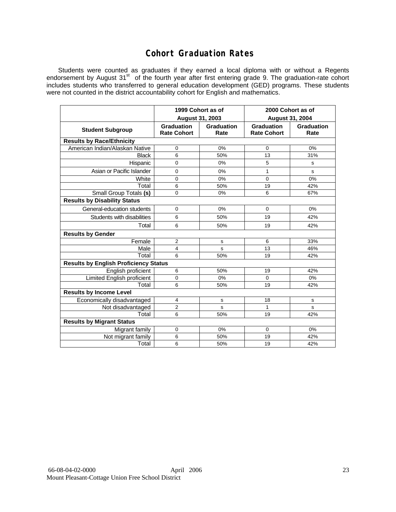## **Cohort Graduation Rates**

Students were counted as graduates if they earned a local diploma with or without a Regents endorsement by August 31<sup>st</sup> of the fourth year after first entering grade 9. The graduation-rate cohort includes students who transferred to general education development (GED) programs. These students were not counted in the district accountability cohort for English and mathematics.

|                                              | August 31, 2003                         | 1999 Cohort as of  | 2000 Cohort as of<br><b>August 31, 2004</b> |                           |  |  |  |  |  |
|----------------------------------------------|-----------------------------------------|--------------------|---------------------------------------------|---------------------------|--|--|--|--|--|
| <b>Student Subgroup</b>                      | <b>Graduation</b><br><b>Rate Cohort</b> | Graduation<br>Rate | <b>Graduation</b><br><b>Rate Cohort</b>     | <b>Graduation</b><br>Rate |  |  |  |  |  |
| <b>Results by Race/Ethnicity</b>             |                                         |                    |                                             |                           |  |  |  |  |  |
| American Indian/Alaskan Native               | $\mathbf 0$                             | 0%                 | 0                                           | 0%                        |  |  |  |  |  |
| <b>Black</b>                                 | 6                                       | 50%                | 13                                          | 31%                       |  |  |  |  |  |
| Hispanic                                     | $\mathbf 0$                             | 0%                 | 5                                           | s                         |  |  |  |  |  |
| Asian or Pacific Islander                    | $\mathbf 0$                             | 0%                 | 1                                           | s                         |  |  |  |  |  |
| White                                        | 0                                       | 0%                 | 0                                           | 0%                        |  |  |  |  |  |
| Total                                        | 6                                       | 50%                | 19                                          | 42%                       |  |  |  |  |  |
| Small Group Totals (s)                       | 0                                       | 0%                 | 6                                           | 67%                       |  |  |  |  |  |
| <b>Results by Disability Status</b>          |                                         |                    |                                             |                           |  |  |  |  |  |
| General-education students                   | $\mathbf 0$                             | 0%                 | 0                                           | 0%                        |  |  |  |  |  |
| Students with disabilities                   | 6                                       | 50%                | 19                                          | 42%                       |  |  |  |  |  |
| Total                                        | 6                                       | 50%                | 19                                          | 42%                       |  |  |  |  |  |
| <b>Results by Gender</b>                     |                                         |                    |                                             |                           |  |  |  |  |  |
| Female                                       | 2                                       | s                  | 6                                           | 33%                       |  |  |  |  |  |
| Male                                         | 4                                       | s                  | 13                                          | 46%                       |  |  |  |  |  |
| Total                                        | 6                                       | 50%                | 19                                          | 42%                       |  |  |  |  |  |
| <b>Results by English Proficiency Status</b> |                                         |                    |                                             |                           |  |  |  |  |  |
| English proficient                           | 6                                       | 50%                | 19                                          | 42%                       |  |  |  |  |  |
| Limited English proficient                   | 0                                       | 0%                 | 0                                           | 0%                        |  |  |  |  |  |
| Total                                        | 6                                       | 50%                | 19                                          | 42%                       |  |  |  |  |  |
| <b>Results by Income Level</b>               |                                         |                    |                                             |                           |  |  |  |  |  |
| Economically disadvantaged                   | $\overline{4}$                          | s                  | 18                                          | s                         |  |  |  |  |  |
| Not disadvantaged                            | $\overline{2}$                          | s                  | 1                                           | s                         |  |  |  |  |  |
| Total                                        | 6                                       | 50%                | 19                                          | 42%                       |  |  |  |  |  |
| <b>Results by Migrant Status</b>             |                                         |                    |                                             |                           |  |  |  |  |  |
| Migrant family                               | 0                                       | 0%                 | 0                                           | 0%                        |  |  |  |  |  |
| Not migrant family                           | 6                                       | 50%                | 19                                          | 42%                       |  |  |  |  |  |
| Total                                        | 6                                       | 50%                | 19                                          | 42%                       |  |  |  |  |  |